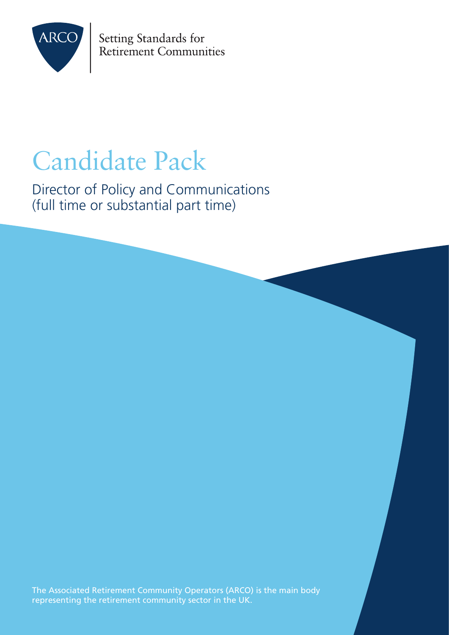

Setting Standards for Retirement Communities

# Candidate Pack

Director of Policy and Communications (full time or substantial part time)

The Associated Retirement Community Operators (ARCO) is the main body representing the retirement community sector in the UK.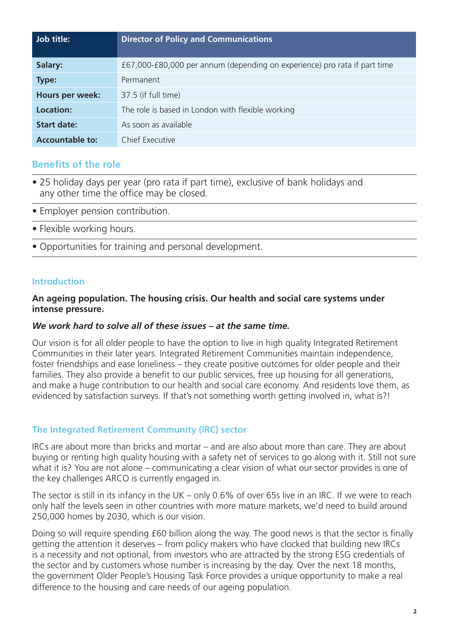| Job title:             | <b>Director of Policy and Communications</b>                              |
|------------------------|---------------------------------------------------------------------------|
| Salary:                | £67,000-£80,000 per annum (depending on experience) pro rata if part time |
| Type:                  | Permanent                                                                 |
| Hours per week:        | 37.5 (if full time)                                                       |
| <b>Location:</b>       | The role is based in London with flexible working                         |
| <b>Start date:</b>     | As soon as available                                                      |
| <b>Accountable to:</b> | Chief Executive                                                           |

# **Benefits of the role**

- 25 holiday days per year (pro rata if part time), exclusive of bank holidays and any other time the office may be closed.
- Employer pension contribution.
- Flexible working hours.
- Opportunities for training and personal development.

### **Introduction**

# **An ageing population. The housing crisis. Our health and social care systems under intense pressure.**

# *We work hard to solve all of these issues – at the same time.*

Our vision is for all older people to have the option to live in high quality Integrated Retirement Communities in their later years. Integrated Retirement Communities maintain independence, foster friendships and ease loneliness – they create positive outcomes for older people and their families. They also provide a benefit to our public services, free up housing for all generations, and make a huge contribution to our health and social care economy. And residents love them, as evidenced by satisfaction surveys. If that's not something worth getting involved in, what is?!

# **The Integrated Retirement Community (IRC) sector**

IRCs are about more than bricks and mortar – and are also about more than care. They are about buying or renting high quality housing with a safety net of services to go along with it. Still not sure what it is? You are not alone – communicating a clear vision of what our sector provides is one of the key challenges ARCO is currently engaged in.

The sector is still in its infancy in the UK – only 0.6% of over 65s live in an IRC. If we were to reach only half the levels seen in other countries with more mature markets, we'd need to build around 250,000 homes by 2030, which is our vision.

Doing so will require spending £60 billion along the way. The good news is that the sector is finally getting the attention it deserves – from policy makers who have clocked that building new IRCs is a necessity and not optional, from investors who are attracted by the strong ESG credentials of the sector and by customers whose number is increasing by the day. Over the next 18 months, the government Older People's Housing Task Force provides a unique opportunity to make a real difference to the housing and care needs of our ageing population.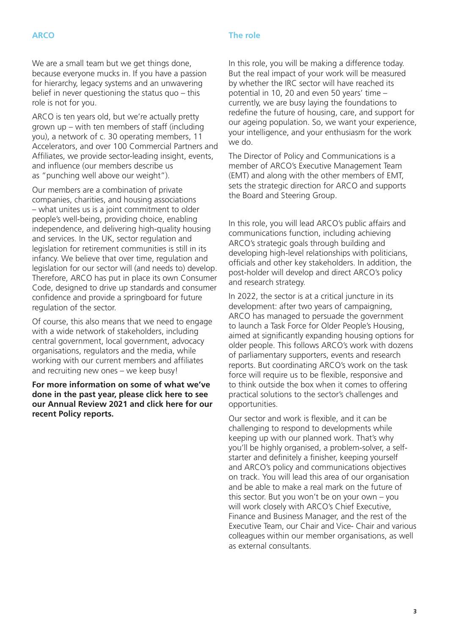# **ARCO**

#### **The role**

We are a small team but we get things done, because everyone mucks in. If you have a passion for hierarchy, legacy systems and an unwavering belief in never questioning the status quo – this role is not for you.

ARCO is ten years old, but we're actually pretty grown up – with ten members of staff (including you), a network of c. 30 operating members, 11 Accelerators, and over 100 Commercial Partners and Affiliates, we provide sector-leading insight, events, and influence (our members describe us as "punching well above our weight").

Our members are a combination of private companies, charities, and housing associations – what unites us is a joint commitment to older people's well-being, providing choice, enabling independence, and delivering high-quality housing and services. In the UK, sector regulation and legislation for retirement communities is still in its infancy. We believe that over time, regulation and legislation for our sector will (and needs to) develop. Therefore, ARCO has put in place its own Consumer Code, designed to drive up standards and consumer confidence and provide a springboard for future regulation of the sector.

Of course, this also means that we need to engage with a wide network of stakeholders, including central government, local government, advocacy organisations, regulators and the media, while working with our current members and affiliates and recruiting new ones – we keep busy!

**For more information on some of what we've done in the past year, please click here to see our Annual Review 2021 and click here for our recent Policy reports.**

In this role, you will be making a difference today. But the real impact of your work will be measured by whether the IRC sector will have reached its potential in 10, 20 and even 50 years' time – currently, we are busy laying the foundations to redefine the future of housing, care, and support for our ageing population. So, we want your experience, your intelligence, and your enthusiasm for the work we do.

The Director of Policy and Communications is a member of ARCO's Executive Management Team (EMT) and along with the other members of EMT, sets the strategic direction for ARCO and supports the Board and Steering Group.

In this role, you will lead ARCO's public affairs and communications function, including achieving ARCO's strategic goals through building and developing high-level relationships with politicians, officials and other key stakeholders. In addition, the post-holder will develop and direct ARCO's policy and research strategy.

In 2022, the sector is at a critical juncture in its development: after two years of campaigning, ARCO has managed to persuade the government to launch a Task Force for Older People's Housing, aimed at significantly expanding housing options for older people. This follows ARCO's work with dozens of parliamentary supporters, events and research reports. But coordinating ARCO's work on the task force will require us to be flexible, responsive and to think outside the box when it comes to offering practical solutions to the sector's challenges and opportunities.

Our sector and work is flexible, and it can be challenging to respond to developments while keeping up with our planned work. That's why you'll be highly organised, a problem-solver, a selfstarter and definitely a finisher, keeping yourself and ARCO's policy and communications objectives on track. You will lead this area of our organisation and be able to make a real mark on the future of this sector. But you won't be on your own – you will work closely with ARCO's Chief Executive, Finance and Business Manager, and the rest of the Executive Team, our Chair and Vice- Chair and various colleagues within our member organisations, as well as external consultants.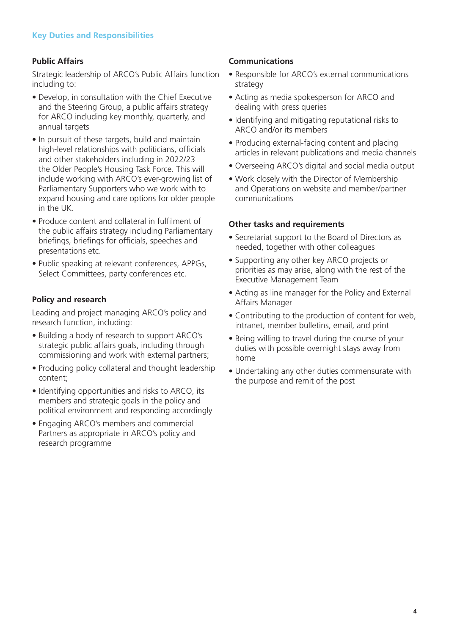# **Public Affairs**

Strategic leadership of ARCO's Public Affairs function including to:

- Develop, in consultation with the Chief Executive and the Steering Group, a public affairs strategy for ARCO including key monthly, quarterly, and annual targets
- In pursuit of these targets, build and maintain high-level relationships with politicians, officials and other stakeholders including in 2022/23 the Older People's Housing Task Force. This will include working with ARCO's ever-growing list of Parliamentary Supporters who we work with to expand housing and care options for older people in the UK.
- Produce content and collateral in fulfilment of the public affairs strategy including Parliamentary briefings, briefings for officials, speeches and presentations etc.
- Public speaking at relevant conferences, APPGs, Select Committees, party conferences etc.

### **Policy and research**

Leading and project managing ARCO's policy and research function, including:

- Building a body of research to support ARCO's strategic public affairs goals, including through commissioning and work with external partners;
- Producing policy collateral and thought leadership content;
- Identifying opportunities and risks to ARCO, its members and strategic goals in the policy and political environment and responding accordingly
- Engaging ARCO's members and commercial Partners as appropriate in ARCO's policy and research programme

### **Communications**

- Responsible for ARCO's external communications strategy
- Acting as media spokesperson for ARCO and dealing with press queries
- Identifying and mitigating reputational risks to ARCO and/or its members
- Producing external-facing content and placing articles in relevant publications and media channels
- Overseeing ARCO's digital and social media output
- Work closely with the Director of Membership and Operations on website and member/partner communications

### **Other tasks and requirements**

- Secretariat support to the Board of Directors as needed, together with other colleagues
- Supporting any other key ARCO projects or priorities as may arise, along with the rest of the Executive Management Team
- Acting as line manager for the Policy and External Affairs Manager
- Contributing to the production of content for web, intranet, member bulletins, email, and print
- Being willing to travel during the course of your duties with possible overnight stays away from home
- Undertaking any other duties commensurate with the purpose and remit of the post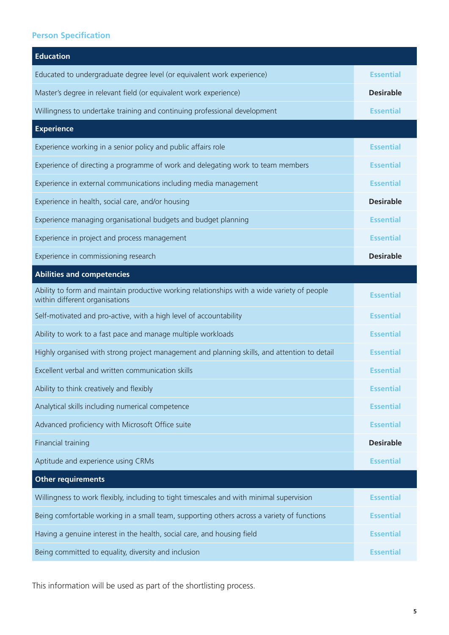# **Person Specification**

| <b>Education</b>                                                                                                              |                  |
|-------------------------------------------------------------------------------------------------------------------------------|------------------|
| Educated to undergraduate degree level (or equivalent work experience)                                                        | <b>Essential</b> |
| Master's degree in relevant field (or equivalent work experience)                                                             | <b>Desirable</b> |
| Willingness to undertake training and continuing professional development                                                     | <b>Essential</b> |
| <b>Experience</b>                                                                                                             |                  |
| Experience working in a senior policy and public affairs role                                                                 | <b>Essential</b> |
| Experience of directing a programme of work and delegating work to team members                                               | <b>Essential</b> |
| Experience in external communications including media management                                                              | <b>Essential</b> |
| Experience in health, social care, and/or housing                                                                             | <b>Desirable</b> |
| Experience managing organisational budgets and budget planning                                                                | <b>Essential</b> |
| Experience in project and process management                                                                                  | <b>Essential</b> |
| Experience in commissioning research                                                                                          | <b>Desirable</b> |
| <b>Abilities and competencies</b>                                                                                             |                  |
| Ability to form and maintain productive working relationships with a wide variety of people<br>within different organisations | <b>Essential</b> |
| Self-motivated and pro-active, with a high level of accountability                                                            | <b>Essential</b> |
| Ability to work to a fast pace and manage multiple workloads                                                                  | <b>Essential</b> |
| Highly organised with strong project management and planning skills, and attention to detail                                  | <b>Essential</b> |
| Excellent verbal and written communication skills                                                                             | <b>Essential</b> |
| Ability to think creatively and flexibly                                                                                      | <b>Essential</b> |
| Analytical skills including numerical competence                                                                              | <b>Essential</b> |
| Advanced proficiency with Microsoft Office suite                                                                              | <b>Essential</b> |
| Financial training                                                                                                            | <b>Desirable</b> |
| Aptitude and experience using CRMs                                                                                            | <b>Essential</b> |
| <b>Other requirements</b>                                                                                                     |                  |
| Willingness to work flexibly, including to tight timescales and with minimal supervision                                      | <b>Essential</b> |
| Being comfortable working in a small team, supporting others across a variety of functions                                    | <b>Essential</b> |
| Having a genuine interest in the health, social care, and housing field                                                       | <b>Essential</b> |
| Being committed to equality, diversity and inclusion                                                                          | <b>Essential</b> |

This information will be used as part of the shortlisting process.